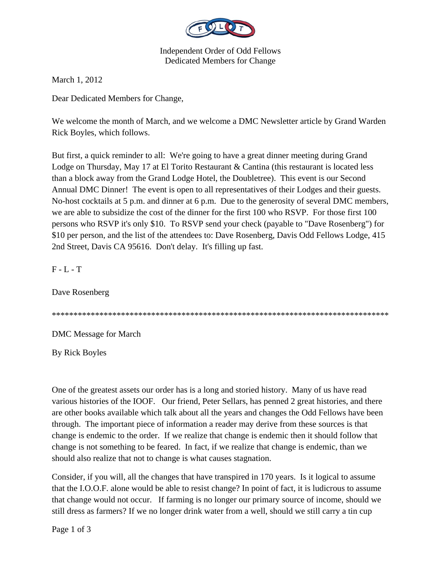

Independent Order of Odd Fellows Dedicated Members for Change

March 1, 2012

Dear Dedicated Members for Change,

We welcome the month of March, and we welcome a DMC Newsletter article by Grand Warden Rick Boyles, which follows.

But first, a quick reminder to all: We're going to have a great dinner meeting during Grand Lodge on Thursday, May 17 at El Torito Restaurant & Cantina (this restaurant is located less than a block away from the Grand Lodge Hotel, the Doubletree). This event is our Second Annual DMC Dinner! The event is open to all representatives of their Lodges and their guests. No-host cocktails at 5 p.m. and dinner at 6 p.m. Due to the generosity of several DMC members, we are able to subsidize the cost of the dinner for the first 100 who RSVP. For those first 100 persons who RSVP it's only \$10. To RSVP send your check (payable to "Dave Rosenberg") for \$10 per person, and the list of the attendees to: Dave Rosenberg, Davis Odd Fellows Lodge, 415 2nd Street, Davis CA 95616. Don't delay. It's filling up fast.

 $F - L - T$ 

Dave Rosenberg

\*\*\*\*\*\*\*\*\*\*\*\*\*\*\*\*\*\*\*\*\*\*\*\*\*\*\*\*\*\*\*\*\*\*\*\*\*\*\*\*\*\*\*\*\*\*\*\*\*\*\*\*\*\*\*\*\*\*\*\*\*\*\*\*\*\*\*\*\*\*\*\*\*\*\*\*\*\*

DMC Message for March

By Rick Boyles

One of the greatest assets our order has is a long and storied history. Many of us have read various histories of the IOOF. Our friend, Peter Sellars, has penned 2 great histories, and there are other books available which talk about all the years and changes the Odd Fellows have been through. The important piece of information a reader may derive from these sources is that change is endemic to the order. If we realize that change is endemic then it should follow that change is not something to be feared. In fact, if we realize that change is endemic, than we should also realize that not to change is what causes stagnation.

Consider, if you will, all the changes that have transpired in 170 years. Is it logical to assume that the I.O.O.F. alone would be able to resist change? In point of fact, it is ludicrous to assume that change would not occur. If farming is no longer our primary source of income, should we still dress as farmers? If we no longer drink water from a well, should we still carry a tin cup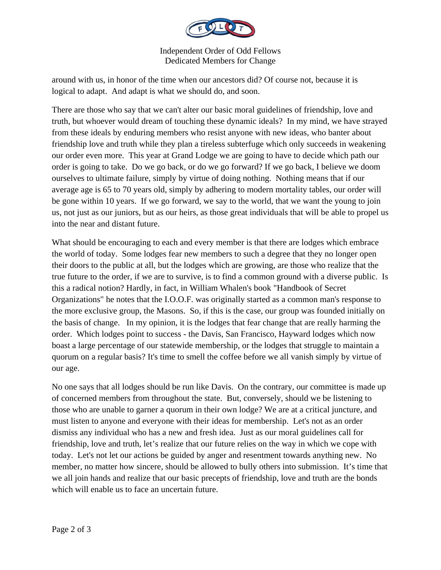

Independent Order of Odd Fellows Dedicated Members for Change

around with us, in honor of the time when our ancestors did? Of course not, because it is logical to adapt. And adapt is what we should do, and soon.

There are those who say that we can't alter our basic moral guidelines of friendship, love and truth, but whoever would dream of touching these dynamic ideals? In my mind, we have strayed from these ideals by enduring members who resist anyone with new ideas, who banter about friendship love and truth while they plan a tireless subterfuge which only succeeds in weakening our order even more. This year at Grand Lodge we are going to have to decide which path our order is going to take. Do we go back, or do we go forward? If we go back, I believe we doom ourselves to ultimate failure, simply by virtue of doing nothing. Nothing means that if our average age is 65 to 70 years old, simply by adhering to modern mortality tables, our order will be gone within 10 years. If we go forward, we say to the world, that we want the young to join us, not just as our juniors, but as our heirs, as those great individuals that will be able to propel us into the near and distant future.

What should be encouraging to each and every member is that there are lodges which embrace the world of today. Some lodges fear new members to such a degree that they no longer open their doors to the public at all, but the lodges which are growing, are those who realize that the true future to the order, if we are to survive, is to find a common ground with a diverse public. Is this a radical notion? Hardly, in fact, in William Whalen's book "Handbook of Secret Organizations" he notes that the I.O.O.F. was originally started as a common man's response to the more exclusive group, the Masons. So, if this is the case, our group was founded initially on the basis of change. In my opinion, it is the lodges that fear change that are really harming the order. Which lodges point to success - the Davis, San Francisco, Hayward lodges which now boast a large percentage of our statewide membership, or the lodges that struggle to maintain a quorum on a regular basis? It's time to smell the coffee before we all vanish simply by virtue of our age.

No one says that all lodges should be run like Davis. On the contrary, our committee is made up of concerned members from throughout the state. But, conversely, should we be listening to those who are unable to garner a quorum in their own lodge? We are at a critical juncture, and must listen to anyone and everyone with their ideas for membership. Let's not as an order dismiss any individual who has a new and fresh idea. Just as our moral guidelines call for friendship, love and truth, let's realize that our future relies on the way in which we cope with today. Let's not let our actions be guided by anger and resentment towards anything new. No member, no matter how sincere, should be allowed to bully others into submission. It's time that we all join hands and realize that our basic precepts of friendship, love and truth are the bonds which will enable us to face an uncertain future.